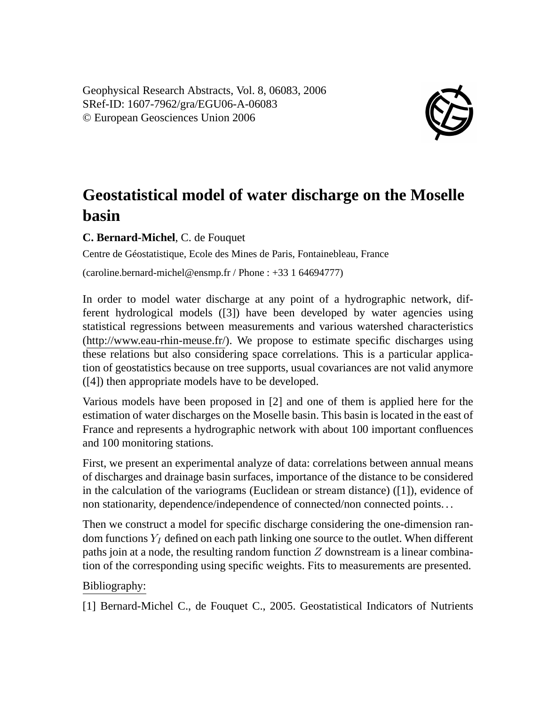Geophysical Research Abstracts, Vol. 8, 06083, 2006 SRef-ID: 1607-7962/gra/EGU06-A-06083 © European Geosciences Union 2006



## **Geostatistical model of water discharge on the Moselle basin**

**C. Bernard-Michel**, C. de Fouquet

Centre de Géostatistique, Ecole des Mines de Paris, Fontainebleau, France

(caroline.bernard-michel@ensmp.fr / Phone : +33 1 64694777)

In order to model water discharge at any point of a hydrographic network, different hydrological models ([3]) have been developed by water agencies using statistical regressions between measurements and various watershed characteristics (http://www.eau-rhin-meuse.fr/). We propose to estimate specific discharges using these relations but also considering space correlations. This is a particular application of geostatistics because on tree supports, usual covariances are not valid anymore ([4]) then appropriate models have to be developed.

Various models have been proposed in [2] and one of them is applied here for the estimation of water discharges on the Moselle basin. This basin is located in the east of France and represents a hydrographic network with about 100 important confluences and 100 monitoring stations.

First, we present an experimental analyze of data: correlations between annual means of discharges and drainage basin surfaces, importance of the distance to be considered in the calculation of the variograms (Euclidean or stream distance) ([1]), evidence of non stationarity, dependence/independence of connected/non connected points. . .

Then we construct a model for specific discharge considering the one-dimension random functions  $Y_I$  defined on each path linking one source to the outlet. When different paths join at a node, the resulting random function  $Z$  downstream is a linear combination of the corresponding using specific weights. Fits to measurements are presented.

## Bibliography:

[1] Bernard-Michel C., de Fouquet C., 2005. Geostatistical Indicators of Nutrients